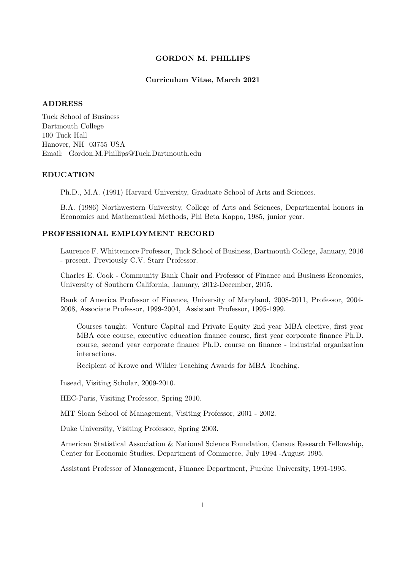### GORDON M. PHILLIPS

## Curriculum Vitae, March 2021

#### ADDRESS

Tuck School of Business Dartmouth College 100 Tuck Hall Hanover, NH 03755 USA Email: Gordon.M.Phillips@Tuck.Dartmouth.edu

### EDUCATION

Ph.D., M.A. (1991) Harvard University, Graduate School of Arts and Sciences.

B.A. (1986) Northwestern University, College of Arts and Sciences, Departmental honors in Economics and Mathematical Methods, Phi Beta Kappa, 1985, junior year.

## PROFESSIONAL EMPLOYMENT RECORD

Laurence F. Whittemore Professor, Tuck School of Business, Dartmouth College, January, 2016 - present. Previously C.V. Starr Professor.

Charles E. Cook - Community Bank Chair and Professor of Finance and Business Economics, University of Southern California, January, 2012-December, 2015.

Bank of America Professor of Finance, University of Maryland, 2008-2011, Professor, 2004- 2008, Associate Professor, 1999-2004, Assistant Professor, 1995-1999.

Courses taught: Venture Capital and Private Equity 2nd year MBA elective, first year MBA core course, executive education finance course, first year corporate finance Ph.D. course, second year corporate finance Ph.D. course on finance - industrial organization interactions.

Recipient of Krowe and Wikler Teaching Awards for MBA Teaching.

Insead, Visiting Scholar, 2009-2010.

HEC-Paris, Visiting Professor, Spring 2010.

MIT Sloan School of Management, Visiting Professor, 2001 - 2002.

Duke University, Visiting Professor, Spring 2003.

American Statistical Association & National Science Foundation, Census Research Fellowship, Center for Economic Studies, Department of Commerce, July 1994 -August 1995.

Assistant Professor of Management, Finance Department, Purdue University, 1991-1995.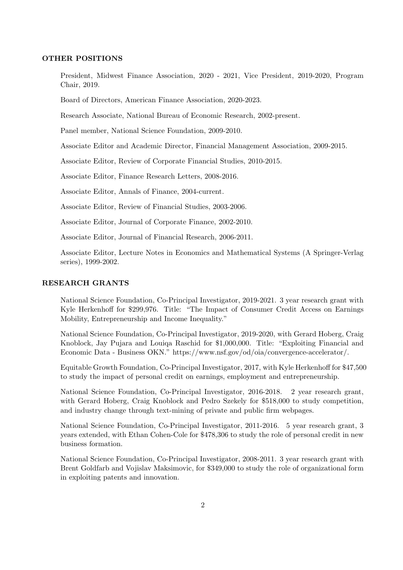### OTHER POSITIONS

President, Midwest Finance Association, 2020 - 2021, Vice President, 2019-2020, Program Chair, 2019.

Board of Directors, American Finance Association, 2020-2023.

Research Associate, National Bureau of Economic Research, 2002-present.

Panel member, National Science Foundation, 2009-2010.

Associate Editor and Academic Director, Financial Management Association, 2009-2015.

Associate Editor, Review of Corporate Financial Studies, 2010-2015.

Associate Editor, Finance Research Letters, 2008-2016.

Associate Editor, Annals of Finance, 2004-current.

Associate Editor, Review of Financial Studies, 2003-2006.

Associate Editor, Journal of Corporate Finance, 2002-2010.

Associate Editor, Journal of Financial Research, 2006-2011.

Associate Editor, Lecture Notes in Economics and Mathematical Systems (A Springer-Verlag series), 1999-2002.

### RESEARCH GRANTS

National Science Foundation, Co-Principal Investigator, 2019-2021. 3 year research grant with Kyle Herkenhoff for \$299,976. Title: "The Impact of Consumer Credit Access on Earnings Mobility, Entrepreneurship and Income Inequality."

National Science Foundation, Co-Principal Investigator, 2019-2020, with Gerard Hoberg, Craig Knoblock, Jay Pujara and Louiqa Raschid for \$1,000,000. Title: "Exploiting Financial and Economic Data - Business OKN." https://www.nsf.gov/od/oia/convergence-accelerator/.

Equitable Growth Foundation, Co-Principal Investigator, 2017, with Kyle Herkenhoff for \$47,500 to study the impact of personal credit on earnings, employment and entrepreneurship.

National Science Foundation, Co-Principal Investigator, 2016-2018. 2 year research grant, with Gerard Hoberg, Craig Knoblock and Pedro Szekely for \$518,000 to study competition, and industry change through text-mining of private and public firm webpages.

National Science Foundation, Co-Principal Investigator, 2011-2016. 5 year research grant, 3 years extended, with Ethan Cohen-Cole for \$478,306 to study the role of personal credit in new business formation.

National Science Foundation, Co-Principal Investigator, 2008-2011. 3 year research grant with Brent Goldfarb and Vojislav Maksimovic, for \$349,000 to study the role of organizational form in exploiting patents and innovation.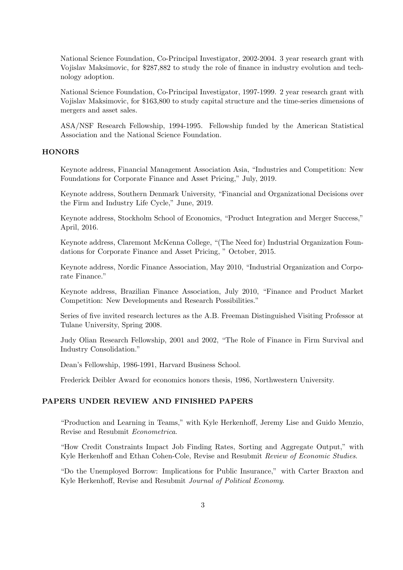National Science Foundation, Co-Principal Investigator, 2002-2004. 3 year research grant with Vojislav Maksimovic, for \$287,882 to study the role of finance in industry evolution and technology adoption.

National Science Foundation, Co-Principal Investigator, 1997-1999. 2 year research grant with Vojislav Maksimovic, for \$163,800 to study capital structure and the time-series dimensions of mergers and asset sales.

ASA/NSF Research Fellowship, 1994-1995. Fellowship funded by the American Statistical Association and the National Science Foundation.

### **HONORS**

Keynote address, Financial Management Association Asia, "Industries and Competition: New Foundations for Corporate Finance and Asset Pricing," July, 2019.

Keynote address, Southern Denmark University, "Financial and Organizational Decisions over the Firm and Industry Life Cycle," June, 2019.

Keynote address, Stockholm School of Economics, "Product Integration and Merger Success," April, 2016.

Keynote address, Claremont McKenna College, "(The Need for) Industrial Organization Foundations for Corporate Finance and Asset Pricing, " October, 2015.

Keynote address, Nordic Finance Association, May 2010, "Industrial Organization and Corporate Finance."

Keynote address, Brazilian Finance Association, July 2010, "Finance and Product Market Competition: New Developments and Research Possibilities."

Series of five invited research lectures as the A.B. Freeman Distinguished Visiting Professor at Tulane University, Spring 2008.

Judy Olian Research Fellowship, 2001 and 2002, "The Role of Finance in Firm Survival and Industry Consolidation."

Dean's Fellowship, 1986-1991, Harvard Business School.

Frederick Deibler Award for economics honors thesis, 1986, Northwestern University.

## PAPERS UNDER REVIEW AND FINISHED PAPERS

"Production and Learning in Teams," with Kyle Herkenhoff, Jeremy Lise and Guido Menzio, Revise and Resubmit Econometrica.

"How Credit Constraints Impact Job Finding Rates, Sorting and Aggregate Output," with Kyle Herkenhoff and Ethan Cohen-Cole, Revise and Resubmit Review of Economic Studies.

"Do the Unemployed Borrow: Implications for Public Insurance," with Carter Braxton and Kyle Herkenhoff, Revise and Resubmit Journal of Political Economy.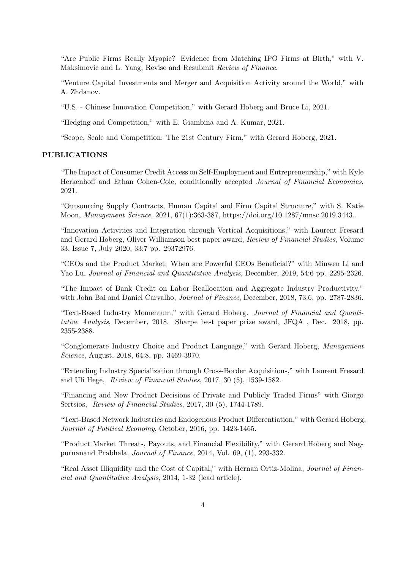"Are Public Firms Really Myopic? Evidence from Matching IPO Firms at Birth," with V. Maksimovic and L. Yang, Revise and Resubmit Review of Finance.

"Venture Capital Investments and Merger and Acquisition Activity around the World," with A. Zhdanov.

"U.S. - Chinese Innovation Competition," with Gerard Hoberg and Bruce Li, 2021.

"Hedging and Competition," with E. Giambina and A. Kumar, 2021.

"Scope, Scale and Competition: The 21st Century Firm," with Gerard Hoberg, 2021.

## PUBLICATIONS

"The Impact of Consumer Credit Access on Self-Employment and Entrepreneurship," with Kyle Herkenhoff and Ethan Cohen-Cole, conditionally accepted Journal of Financial Economics, 2021.

"Outsourcing Supply Contracts, Human Capital and Firm Capital Structure," with S. Katie Moon, Management Science, 2021, 67(1):363-387, https://doi.org/10.1287/mnsc.2019.3443..

"Innovation Activities and Integration through Vertical Acquisitions," with Laurent Fresard and Gerard Hoberg, Oliver Williamson best paper award, Review of Financial Studies, Volume 33, Issue 7, July 2020, 33:7 pp. 29372976.

"CEOs and the Product Market: When are Powerful CEOs Beneficial?" with Minwen Li and Yao Lu, *Journal of Financial and Quantitative Analysis*, December, 2019, 54:6 pp. 2295-2326.

"The Impact of Bank Credit on Labor Reallocation and Aggregate Industry Productivity," with John Bai and Daniel Carvalho, Journal of Finance, December, 2018, 73:6, pp. 2787-2836.

"Text-Based Industry Momentum," with Gerard Hoberg. Journal of Financial and Quantitative Analysis, December, 2018. Sharpe best paper prize award, JFQA , Dec. 2018, pp. 2355-2388.

"Conglomerate Industry Choice and Product Language," with Gerard Hoberg, Management Science, August, 2018, 64:8, pp. 3469-3970.

"Extending Industry Specialization through Cross-Border Acquisitions," with Laurent Fresard and Uli Hege, Review of Financial Studies, 2017, 30 (5), 1539-1582.

"Financing and New Product Decisions of Private and Publicly Traded Firms" with Giorgo Sertsios, Review of Financial Studies, 2017, 30 (5), 1744-1789.

"Text-Based Network Industries and Endogenous Product Differentiation," with Gerard Hoberg, Journal of Political Economy, October, 2016, pp. 1423-1465.

"Product Market Threats, Payouts, and Financial Flexibility," with Gerard Hoberg and Nagpurnanand Prabhala, Journal of Finance, 2014, Vol. 69, (1), 293-332.

"Real Asset Illiquidity and the Cost of Capital," with Hernan Ortiz-Molina, Journal of Financial and Quantitative Analysis, 2014, 1-32 (lead article).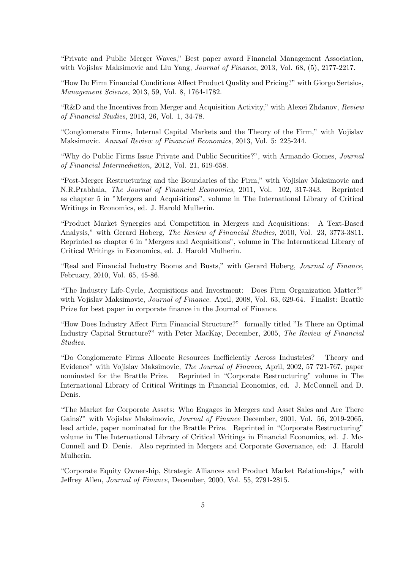"Private and Public Merger Waves," Best paper award Financial Management Association, with Vojislav Maksimovic and Liu Yang, *Journal of Finance*, 2013, Vol. 68, (5), 2177-2217.

"How Do Firm Financial Conditions Affect Product Quality and Pricing?" with Giorgo Sertsios, Management Science, 2013, 59, Vol. 8, 1764-1782.

"R&D and the Incentives from Merger and Acquisition Activity," with Alexei Zhdanov, Review of Financial Studies, 2013, 26, Vol. 1, 34-78.

"Conglomerate Firms, Internal Capital Markets and the Theory of the Firm," with Vojislav Maksimovic. Annual Review of Financial Economics, 2013, Vol. 5: 225-244.

"Why do Public Firms Issue Private and Public Securities?", with Armando Gomes, Journal of Financial Intermediation, 2012, Vol. 21, 619-658.

"Post-Merger Restructuring and the Boundaries of the Firm," with Vojislav Maksimovic and N.R.Prabhala, The Journal of Financial Economics, 2011, Vol. 102, 317-343. Reprinted as chapter 5 in "Mergers and Acquisitions", volume in The International Library of Critical Writings in Economics, ed. J. Harold Mulherin.

"Product Market Synergies and Competition in Mergers and Acquisitions: A Text-Based Analysis," with Gerard Hoberg, The Review of Financial Studies, 2010, Vol. 23, 3773-3811. Reprinted as chapter 6 in "Mergers and Acquisitions", volume in The International Library of Critical Writings in Economics, ed. J. Harold Mulherin.

"Real and Financial Industry Booms and Busts," with Gerard Hoberg, Journal of Finance, February, 2010, Vol. 65, 45-86.

"The Industry Life-Cycle, Acquisitions and Investment: Does Firm Organization Matter?" with Vojislav Maksimovic, Journal of Finance. April, 2008, Vol. 63, 629-64. Finalist: Brattle Prize for best paper in corporate finance in the Journal of Finance.

"How Does Industry Affect Firm Financial Structure?" formally titled "Is There an Optimal Industry Capital Structure?" with Peter MacKay, December, 2005, The Review of Financial Studies.

"Do Conglomerate Firms Allocate Resources Inefficiently Across Industries? Theory and Evidence" with Vojislav Maksimovic, The Journal of Finance, April, 2002, 57 721-767, paper nominated for the Brattle Prize. Reprinted in "Corporate Restructuring" volume in The International Library of Critical Writings in Financial Economics, ed. J. McConnell and D. Denis.

"The Market for Corporate Assets: Who Engages in Mergers and Asset Sales and Are There Gains?" with Vojislav Maksimovic, Journal of Finance December, 2001, Vol. 56, 2019-2065, lead article, paper nominated for the Brattle Prize. Reprinted in "Corporate Restructuring" volume in The International Library of Critical Writings in Financial Economics, ed. J. Mc-Connell and D. Denis. Also reprinted in Mergers and Corporate Governance, ed: J. Harold Mulherin.

"Corporate Equity Ownership, Strategic Alliances and Product Market Relationships," with Jeffrey Allen, Journal of Finance, December, 2000, Vol. 55, 2791-2815.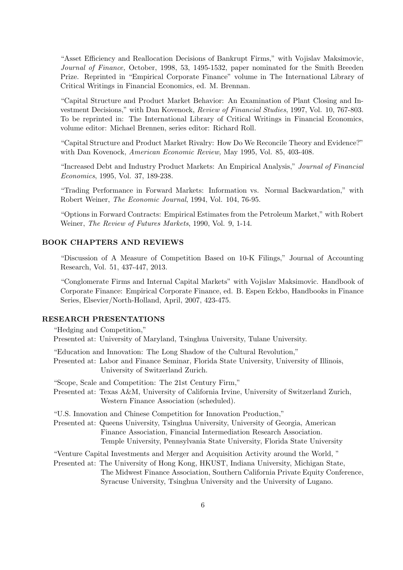"Asset Efficiency and Reallocation Decisions of Bankrupt Firms," with Vojislav Maksimovic, Journal of Finance, October, 1998, 53, 1495-1532, paper nominated for the Smith Breeden Prize. Reprinted in "Empirical Corporate Finance" volume in The International Library of Critical Writings in Financial Economics, ed. M. Brennan.

"Capital Structure and Product Market Behavior: An Examination of Plant Closing and Investment Decisions," with Dan Kovenock, Review of Financial Studies, 1997, Vol. 10, 767-803. To be reprinted in: The International Library of Critical Writings in Financial Economics, volume editor: Michael Brennen, series editor: Richard Roll.

"Capital Structure and Product Market Rivalry: How Do We Reconcile Theory and Evidence?" with Dan Kovenock, American Economic Review, May 1995, Vol. 85, 403-408.

"Increased Debt and Industry Product Markets: An Empirical Analysis," Journal of Financial Economics, 1995, Vol. 37, 189-238.

"Trading Performance in Forward Markets: Information vs. Normal Backwardation," with Robert Weiner, The Economic Journal, 1994, Vol. 104, 76-95.

"Options in Forward Contracts: Empirical Estimates from the Petroleum Market," with Robert Weiner, The Review of Futures Markets, 1990, Vol. 9, 1-14.

## BOOK CHAPTERS AND REVIEWS

"Discussion of A Measure of Competition Based on 10-K Filings," Journal of Accounting Research, Vol. 51, 437-447, 2013.

"Conglomerate Firms and Internal Capital Markets" with Vojislav Maksimovic. Handbook of Corporate Finance: Empirical Corporate Finance, ed. B. Espen Eckbo, Handbooks in Finance Series, Elsevier/North-Holland, April, 2007, 423-475.

## RESEARCH PRESENTATIONS

"Hedging and Competition," Presented at: University of Maryland, Tsinghua University, Tulane University.

- "Education and Innovation: The Long Shadow of the Cultural Revolution,"
- Presented at: Labor and Finance Seminar, Florida State University, University of Illinois, University of Switzerland Zurich.

"Scope, Scale and Competition: The 21st Century Firm,"

Presented at: Texas A&M, University of California Irvine, University of Switzerland Zurich, Western Finance Association (scheduled).

"U.S. Innovation and Chinese Competition for Innovation Production,"

Presented at: Queens University, Tsinghua University, University of Georgia, American Finance Association, Financial Intermediation Research Association. Temple University, Pennsylvania State University, Florida State University

"Venture Capital Investments and Merger and Acquisition Activity around the World, "

Presented at: The University of Hong Kong, HKUST, Indiana University, Michigan State, The Midwest Finance Association, Southern California Private Equity Conference, Syracuse University, Tsinghua University and the University of Lugano.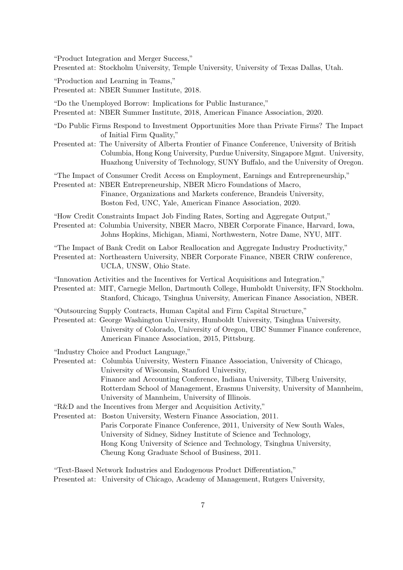"Product Integration and Merger Success," Presented at: Stockholm University, Temple University, University of Texas Dallas, Utah.

"Production and Learning in Teams," Presented at: NBER Summer Institute, 2018.

"Do the Unemployed Borrow: Implications for Public Insturance," Presented at: NBER Summer Institute, 2018, American Finance Association, 2020.

- "Do Public Firms Respond to Investment Opportunities More than Private Firms? The Impact of Initial Firm Quality,"
- Presented at: The University of Alberta Frontier of Finance Conference, University of British Columbia, Hong Kong University, Purdue University, Singapore Mgmt. University, Huazhong University of Technology, SUNY Buffalo, and the University of Oregon.

"The Impact of Consumer Credit Access on Employment, Earnings and Entrepreneurship,"

Presented at: NBER Entrepreneurship, NBER Micro Foundations of Macro, Finance, Organizations and Markets conference, Brandeis University, Boston Fed, UNC, Yale, American Finance Association, 2020.

"How Credit Constraints Impact Job Finding Rates, Sorting and Aggregate Output,"

Presented at: Columbia University, NBER Macro, NBER Corporate Finance, Harvard, Iowa, Johns Hopkins, Michigan, Miami, Northwestern, Notre Dame, NYU, MIT.

"The Impact of Bank Credit on Labor Reallocation and Aggregate Industry Productivity," Presented at: Northeastern University, NBER Corporate Finance, NBER CRIW conference, UCLA, UNSW, Ohio State.

"Innovation Activities and the Incentives for Vertical Acquisitions and Integration,"

Presented at: MIT, Carnegie Mellon, Dartmouth College, Humboldt University, IFN Stockholm. Stanford, Chicago, Tsinghua University, American Finance Association, NBER.

"Outsourcing Supply Contracts, Human Capital and Firm Capital Structure,"

Presented at: George Washington University, Humboldt University, Tsinghua University, University of Colorado, University of Oregon, UBC Summer Finance conference, American Finance Association, 2015, Pittsburg.

"Industry Choice and Product Language,"

Presented at: Columbia University, Western Finance Association, University of Chicago, University of Wisconsin, Stanford University, Finance and Accounting Conference, Indiana University, Tilberg University, Rotterdam School of Management, Erasmus University, University of Mannheim, University of Mannheim, University of Illinois.

"R&D and the Incentives from Merger and Acquisition Activity,"

Presented at: Boston University, Western Finance Association, 2011. Paris Corporate Finance Conference, 2011, University of New South Wales, University of Sidney, Sidney Institute of Science and Technology, Hong Kong University of Science and Technology, Tsinghua University, Cheung Kong Graduate School of Business, 2011.

"Text-Based Network Industries and Endogenous Product Differentiation," Presented at: University of Chicago, Academy of Management, Rutgers University,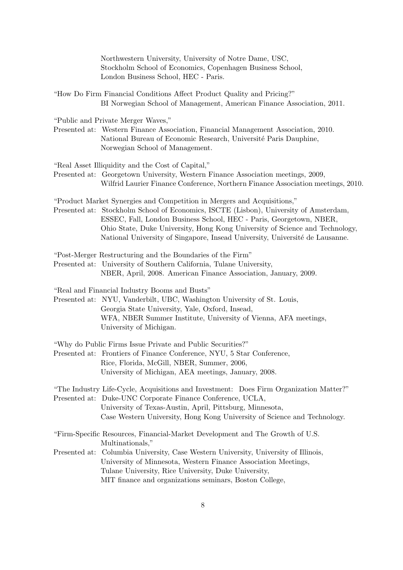Northwestern University, University of Notre Dame, USC, Stockholm School of Economics, Copenhagen Business School, London Business School, HEC - Paris.

"How Do Firm Financial Conditions Affect Product Quality and Pricing?" BI Norwegian School of Management, American Finance Association, 2011.

"Public and Private Merger Waves,"

Presented at: Western Finance Association, Financial Management Association, 2010. National Bureau of Economic Research, Université Paris Dauphine, Norwegian School of Management.

"Real Asset Illiquidity and the Cost of Capital,"

Presented at: Georgetown University, Western Finance Association meetings, 2009, Wilfrid Laurier Finance Conference, Northern Finance Association meetings, 2010.

"Product Market Synergies and Competition in Mergers and Acquisitions," Presented at: Stockholm School of Economics, ISCTE (Lisbon), University of Amsterdam, ESSEC, Fall, London Business School, HEC - Paris, Georgetown, NBER, Ohio State, Duke University, Hong Kong University of Science and Technology, National University of Singapore, Insead University, Université de Lausanne.

"Post-Merger Restructuring and the Boundaries of the Firm"

- Presented at: University of Southern California, Tulane University, NBER, April, 2008. American Finance Association, January, 2009.
- "Real and Financial Industry Booms and Busts"
- Presented at: NYU, Vanderbilt, UBC, Washington University of St. Louis, Georgia State University, Yale, Oxford, Insead, WFA, NBER Summer Institute, University of Vienna, AFA meetings, University of Michigan.
- "Why do Public Firms Issue Private and Public Securities?"
- Presented at: Frontiers of Finance Conference, NYU, 5 Star Conference, Rice, Florida, McGill, NBER, Summer, 2006, University of Michigan, AEA meetings, January, 2008.
- "The Industry Life-Cycle, Acquisitions and Investment: Does Firm Organization Matter?" Presented at: Duke-UNC Corporate Finance Conference, UCLA, University of Texas-Austin, April, Pittsburg, Minnesota, Case Western University, Hong Kong University of Science and Technology.
- "Firm-Specific Resources, Financial-Market Development and The Growth of U.S. Multinationals,"
- Presented at: Columbia University, Case Western University, University of Illinois, University of Minnesota, Western Finance Association Meetings, Tulane University, Rice University, Duke University, MIT finance and organizations seminars, Boston College,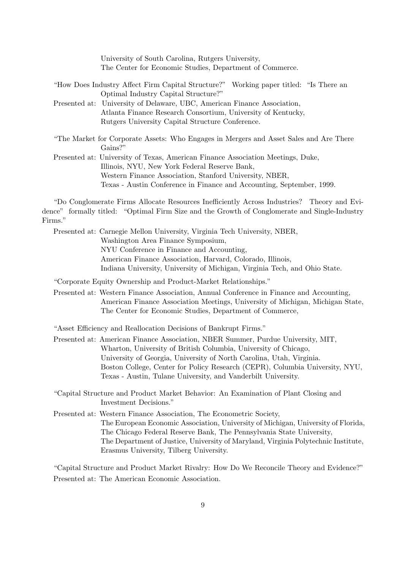University of South Carolina, Rutgers University, The Center for Economic Studies, Department of Commerce.

"How Does Industry Affect Firm Capital Structure?" Working paper titled: "Is There an Optimal Industry Capital Structure?"

Presented at: University of Delaware, UBC, American Finance Association, Atlanta Finance Research Consortium, University of Kentucky, Rutgers University Capital Structure Conference.

"The Market for Corporate Assets: Who Engages in Mergers and Asset Sales and Are There Gains?"

Presented at: University of Texas, American Finance Association Meetings, Duke, Illinois, NYU, New York Federal Reserve Bank, Western Finance Association, Stanford University, NBER, Texas - Austin Conference in Finance and Accounting, September, 1999.

"Do Conglomerate Firms Allocate Resources Inefficiently Across Industries? Theory and Evidence" formally titled: "Optimal Firm Size and the Growth of Conglomerate and Single-Industry Firms."

Presented at: Carnegie Mellon University, Virginia Tech University, NBER, Washington Area Finance Symposium, NYU Conference in Finance and Accounting, American Finance Association, Harvard, Colorado, Illinois, Indiana University, University of Michigan, Virginia Tech, and Ohio State.

"Corporate Equity Ownership and Product-Market Relationships."

Presented at: Western Finance Association, Annual Conference in Finance and Accounting, American Finance Association Meetings, University of Michigan, Michigan State, The Center for Economic Studies, Department of Commerce,

"Asset Efficiency and Reallocation Decisions of Bankrupt Firms."

Presented at: American Finance Association, NBER Summer, Purdue University, MIT, Wharton, University of British Columbia, University of Chicago, University of Georgia, University of North Carolina, Utah, Virginia. Boston College, Center for Policy Research (CEPR), Columbia University, NYU, Texas - Austin, Tulane University, and Vanderbilt University.

"Capital Structure and Product Market Behavior: An Examination of Plant Closing and Investment Decisions."

Presented at: Western Finance Association, The Econometric Society, The European Economic Association, University of Michigan, University of Florida, The Chicago Federal Reserve Bank, The Pennsylvania State University, The Department of Justice, University of Maryland, Virginia Polytechnic Institute, Erasmus University, Tilberg University.

"Capital Structure and Product Market Rivalry: How Do We Reconcile Theory and Evidence?" Presented at: The American Economic Association.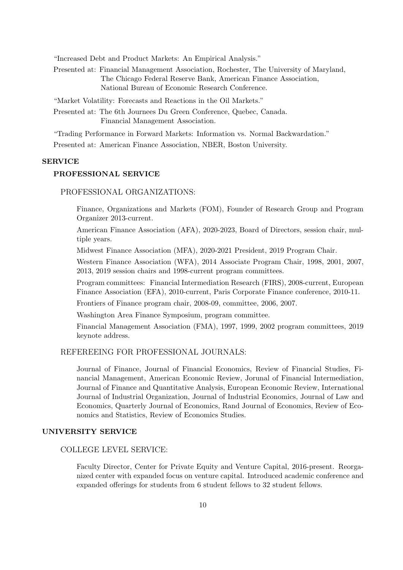"Increased Debt and Product Markets: An Empirical Analysis."

Presented at: Financial Management Association, Rochester, The University of Maryland, The Chicago Federal Reserve Bank, American Finance Association, National Bureau of Economic Research Conference.

"Market Volatility: Forecasts and Reactions in the Oil Markets."

Presented at: The 6th Journees Du Green Conference, Quebec, Canada. Financial Management Association.

"Trading Performance in Forward Markets: Information vs. Normal Backwardation."

Presented at: American Finance Association, NBER, Boston University.

## SERVICE

## PROFESSIONAL SERVICE

## PROFESSIONAL ORGANIZATIONS:

Finance, Organizations and Markets (FOM), Founder of Research Group and Program Organizer 2013-current.

American Finance Association (AFA), 2020-2023, Board of Directors, session chair, multiple years.

Midwest Finance Association (MFA), 2020-2021 President, 2019 Program Chair.

Western Finance Association (WFA), 2014 Associate Program Chair, 1998, 2001, 2007, 2013, 2019 session chairs and 1998-current program committees.

Program committees: Financial Intermediation Research (FIRS), 2008-current, European Finance Association (EFA), 2010-current, Paris Corporate Finance conference, 2010-11.

Frontiers of Finance program chair, 2008-09, committee, 2006, 2007.

Washington Area Finance Symposium, program committee.

Financial Management Association (FMA), 1997, 1999, 2002 program committees, 2019 keynote address.

# REFEREEING FOR PROFESSIONAL JOURNALS:

Journal of Finance, Journal of Financial Economics, Review of Financial Studies, Financial Management, American Economic Review, Jorunal of Financial Intermediation, Journal of Finance and Quantitative Analysis, European Economic Review, International Journal of Industrial Organization, Journal of Industrial Economics, Journal of Law and Economics, Quarterly Journal of Economics, Rand Journal of Economics, Review of Economics and Statistics, Review of Economics Studies.

### UNIVERSITY SERVICE

COLLEGE LEVEL SERVICE:

Faculty Director, Center for Private Equity and Venture Capital, 2016-present. Reorganized center with expanded focus on venture capital. Introduced academic conference and expanded offerings for students from 6 student fellows to 32 student fellows.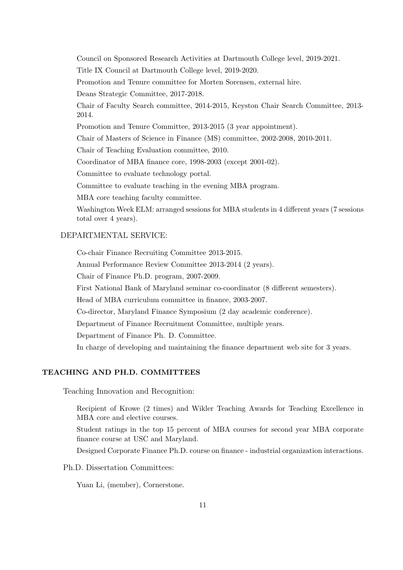Council on Sponsored Research Activities at Dartmouth College level, 2019-2021.

Title IX Council at Dartmouth College level, 2019-2020.

Promotion and Tenure committee for Morten Sorensen, external hire.

Deans Strategic Committee, 2017-2018.

Chair of Faculty Search committee, 2014-2015, Keyston Chair Search Committee, 2013- 2014.

Promotion and Tenure Committee, 2013-2015 (3 year appointment).

Chair of Masters of Science in Finance (MS) committee, 2002-2008, 2010-2011.

Chair of Teaching Evaluation committee, 2010.

Coordinator of MBA finance core, 1998-2003 (except 2001-02).

Committee to evaluate technology portal.

Committee to evaluate teaching in the evening MBA program.

MBA core teaching faculty committee.

Washington Week ELM: arranged sessions for MBA students in 4 different years (7 sessions total over 4 years).

# DEPARTMENTAL SERVICE:

Co-chair Finance Recruiting Committee 2013-2015.

Annual Performance Review Committee 2013-2014 (2 years).

Chair of Finance Ph.D. program, 2007-2009.

First National Bank of Maryland seminar co-coordinator (8 different semesters).

Head of MBA curriculum committee in finance, 2003-2007.

Co-director, Maryland Finance Symposium (2 day academic conference).

Department of Finance Recruitment Committee, multiple years.

Department of Finance Ph. D. Committee.

In charge of developing and maintaining the finance department web site for 3 years.

## TEACHING AND PH.D. COMMITTEES

Teaching Innovation and Recognition:

Recipient of Krowe (2 times) and Wikler Teaching Awards for Teaching Excellence in MBA core and elective courses.

Student ratings in the top 15 percent of MBA courses for second year MBA corporate finance course at USC and Maryland.

Designed Corporate Finance Ph.D. course on finance - industrial organization interactions.

Ph.D. Dissertation Committees:

Yuan Li, (member), Cornerstone.